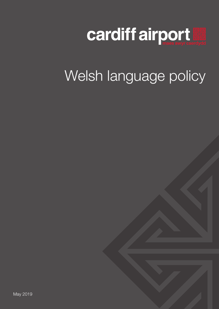

# Welsh language policy

May 2019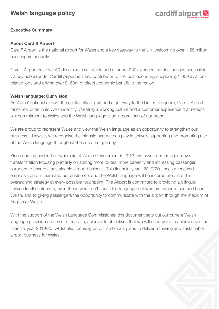### **Welsh language policy**

### cardiff airpor

#### **Executive Summary**

#### **About Cardiff Airport**

Cardiff Airport is the national airport for Wales and a key gateway to the UK, welcoming over 1.58 million passengers annually.

Cardiff Airport has over 50 direct routes available and a further 900+ connecting destinations accessible via key hub airports. Cardiff Airport is a key contributor to the local economy, supporting 1,900 aviationrelated jobs and driving over £163m of direct economic benefit to the region.

#### **Welsh language: Our vision**

As Wales' national airport, the capital city airport and a gateway to the United Kingdom, Cardiff Airport takes real pride in its Welsh identity. Creating a working culture and a customer experience that reflects our commitment to Wales and the Welsh language is an integral part of our brand.

We are proud to represent Wales and view the Welsh language as an opportunity to strengthen our business. Likewise, we recognise the intrinsic part we can play in actively supporting and promoting use of the Welsh language throughout the customer journey.

Since coming under the ownership of Welsh Government in 2013, we have been on a journey of transformation focusing primarily on adding more routes, more capacity and increasing passenger numbers to ensure a sustainable airport business. This financial year - 2019/20 - sees a renewed emphasis on our team and our customers and the Welsh language will be incorporated into this overarching strategy at every possible touchpoint. The Airport is committed to providing a bilingual service to all customers, even those who can't speak the language but who are eager to see and hear Welsh, and to giving passengers the opportunity to communicate with the airport through the medium of English or Welsh.

With the support of the Welsh Language Commissioner, this document sets out our current Welsh language provision and a set of realistic, achievable objectives that we will endeavour to achieve over the financial year 2019/20; whilst also focusing on our ambitious plans to deliver a thriving and sustainable airport business for Wales.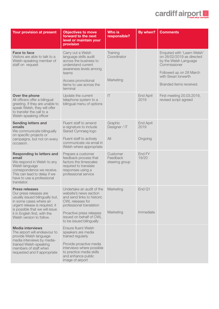## cardiff airport

| Your provision at present                                                                                                                                                                                                                     | <b>Objectives to move</b><br>forward to the next<br>level or maintain your<br>provision                                                             | <b>Who is</b><br>responsible?          | By when?                 | <b>Comments</b>                                                                                                                                                                |
|-----------------------------------------------------------------------------------------------------------------------------------------------------------------------------------------------------------------------------------------------|-----------------------------------------------------------------------------------------------------------------------------------------------------|----------------------------------------|--------------------------|--------------------------------------------------------------------------------------------------------------------------------------------------------------------------------|
| <b>Face to face</b><br>Visitors are able to talk to a<br>Welsh-speaking member of<br>staff on request                                                                                                                                         | Carry out a Welsh<br>language skills audit<br>across the business to<br>understand current<br>awareness levels among<br>teams<br>Access promotional | Training<br>Coordinator<br>Marketing   |                          | Enquired with 'Learn Welsh'<br>on 26/02/2019 as directed<br>by the Welsh Language<br>Commissioner<br>Followed up on 28 March<br>with Siwan Iorwerth<br>Branded items received. |
|                                                                                                                                                                                                                                               | items to use across the<br>terminal                                                                                                                 |                                        |                          |                                                                                                                                                                                |
| Over the phone<br>All officers offer a bilingual<br>greeting. If they are unable to<br>speak Welsh, they will offer<br>to transfer the call to a<br>Welsh-speaking officer                                                                    | Update the current<br>telephone system to a<br>bilingual menu of options                                                                            | T                                      | End April<br>2019        | First meeting 20.03.2019,<br>revised script agreed                                                                                                                             |
| <b>Sending letters and</b><br>emails<br>We communicate bilingually<br>on specific projects or<br>campaigns, but not on every<br>occasion.                                                                                                     | Fluent staff to amend<br>e-signature to include<br>Siarad Cymraeg logo                                                                              | Graphic<br>Designer / IT               | <b>End April</b><br>2019 |                                                                                                                                                                                |
|                                                                                                                                                                                                                                               | Fluent staff to actively<br>communicate via email in<br>Welsh where appropriate                                                                     | All                                    | Ongoing                  |                                                                                                                                                                                |
| <b>Responding to letters and</b><br>email<br>We respond in Welsh to any<br>Welsh language<br>correspondence we receive.<br>This can lead to delay if we<br>have to use a professional<br>translator.                                          | Prepare a customer<br>feedback process that<br>factors the timescales<br>required to translate<br>responses using a<br>professional service         | Customer<br>Feedback<br>steering group | End FY<br>19/20          |                                                                                                                                                                                |
| <b>Press releases</b><br>Our press releases are<br>usually issued bilingually but,<br>in some cases where an<br>urgent release is required, it<br>is possible that we will issue<br>it in English first, with the<br>Welsh version to follow. | Undertake an audit of the<br>website's news section<br>and send links to historic<br>CWL releases for<br>professional translation                   | Marketing                              | End Q1                   |                                                                                                                                                                                |
|                                                                                                                                                                                                                                               | Proactive press releases<br>issued on behalf of CWL<br>to be issued bilingually                                                                     | Marketing                              | Immediate                |                                                                                                                                                                                |
| <b>Media interviews</b><br>The airport will endeavour to<br>provide Welsh language<br>media interviews by media-<br>trained Welsh-speaking<br>members of staff when<br>requested and if appropriate                                           | <b>Ensure fluent Welsh</b><br>speakers are media<br>trained regularly                                                                               |                                        |                          |                                                                                                                                                                                |
|                                                                                                                                                                                                                                               | Provide proactive media<br>interviews where possible<br>to practice media skills<br>and enhance public<br>image of airport                          |                                        |                          |                                                                                                                                                                                |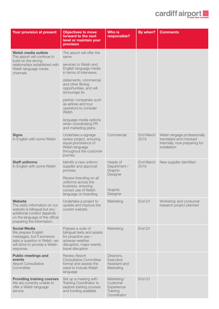## cardiff airport

| Your provision at present                                                                                                                                                     | <b>Objectives to move</b><br>forward to the next<br>level or maintain your<br>provision                                                      | <b>Who is</b><br>responsible?                                    | By when?          | <b>Comments</b>                                                                                         |
|-------------------------------------------------------------------------------------------------------------------------------------------------------------------------------|----------------------------------------------------------------------------------------------------------------------------------------------|------------------------------------------------------------------|-------------------|---------------------------------------------------------------------------------------------------------|
| Welsh media outlets<br>The airport will continue to<br>build on the strong<br>relationships established with<br>Welsh language media<br>channels                              | The airport will offer the<br>same                                                                                                           |                                                                  |                   |                                                                                                         |
|                                                                                                                                                                               | services to Welsh and<br>English language media<br>in terms of interviews,                                                                   |                                                                  |                   |                                                                                                         |
|                                                                                                                                                                               | statements, commercial<br>and other filming<br>opportunities, and will<br>encourage its                                                      |                                                                  |                   |                                                                                                         |
|                                                                                                                                                                               | partner companies such<br>as airlines and tour<br>operators to consider<br>Welsh                                                             |                                                                  |                   |                                                                                                         |
|                                                                                                                                                                               | language media options<br>when coordinating PR<br>and marketing plans.                                                                       |                                                                  |                   |                                                                                                         |
| <b>Signs</b><br>In English with some Welsh                                                                                                                                    | Undertake a signage<br>review project, ensuring<br>equal prominence of<br>Welsh language<br>throughout the customer<br>journey.              | Commercial                                                       | End March<br>2019 | Welsh singage professionally<br>translated and checked<br>internally, now preparing for<br>installation |
| <b>Staff uniforms</b><br>In English with some Welsh                                                                                                                           | Identify a new uniform<br>supplier and approval<br>process                                                                                   | Heads of<br>Department /<br>Graphic<br>Designer                  | End March<br>2019 | New supplier identified                                                                                 |
|                                                                                                                                                                               | Review branding on all<br>uniforms across the<br>business, ensuring<br>correct use of Welsh<br>language on branding                          | Graphic<br>Designer                                              |                   |                                                                                                         |
| <b>Website</b><br>The static information on our<br>website is bilingual but any<br>additional content depends<br>on the language of the officer<br>preparing the information. | Undertake a project to<br>update and improve the<br>current website                                                                          | Marketing                                                        | End Q1            | Workshop and consumer<br>research project planned                                                       |
| <b>Social Media</b><br>We prepare English<br>messages, but if someone<br>asks a question in Welsh, we<br>will strive to provide a Welsh<br>response.                          | Prepare a suite of<br>bilingual texts and assets<br>for proactive use -<br>adverse weather<br>disruption, major events,<br>travel disruption | Marketing                                                        | End Q1            |                                                                                                         |
| <b>Public meetings and</b><br>events<br><b>Airport Consultative</b><br>Committee                                                                                              | <b>Review Airport</b><br><b>Consultative Committee</b><br>format and assess the<br>need to include Welsh<br>language                         | Directors,<br>Executive<br>Assistant and<br>Marketing            |                   |                                                                                                         |
| <b>Providing training courses</b><br>We are currently unable to<br>offer a Welsh language<br>service                                                                          | Set up a meeting with<br>Training Coordinator to<br>explore training courses<br>and funding available                                        | Marketing/<br>Customer<br>Experience/<br>Training<br>Coordinator | End Q1            |                                                                                                         |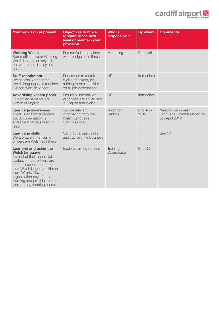### cardiff airport

| Your provision at present                                                                                                                                                                                                                                                                       | <b>Objectives to move</b><br>forward to the next<br>level or maintain your<br>provision           | <b>Who is</b><br>responsible? | By when?                 | <b>Comments</b>                                                   |
|-------------------------------------------------------------------------------------------------------------------------------------------------------------------------------------------------------------------------------------------------------------------------------------------------|---------------------------------------------------------------------------------------------------|-------------------------------|--------------------------|-------------------------------------------------------------------|
| <b>Working Welsh</b><br>Some officers wear Working<br>Welsh badges or lanyards<br>but we do not display any<br>posters                                                                                                                                                                          | Ensure Welsh speakers<br>wear badge at all times                                                  | Marketing                     | <b>End April</b>         |                                                                   |
| <b>Staff recruitment</b><br>We assess whether the<br>Welsh language is a required<br>skill for every new post                                                                                                                                                                                   | Endeavour to recruit<br>Welsh speakers, by<br>adding to desired skills<br>on all job descriptions | <b>HR</b>                     | Immediate                |                                                                   |
| <b>Advertising vacant posts</b><br>Our advertisements are<br>written in English.                                                                                                                                                                                                                | Ensure all internal job<br>vacancies are advertised<br>in English and Welsh                       | HR                            | Immediate                |                                                                   |
| <b>Language awareness</b><br>There is no formal process<br>but documentation is<br>available if officers wish to<br>read it.                                                                                                                                                                    | Source relevant<br>information from the<br>Welsh Language<br>Commissioner                         | Rhiannon<br>Jenkins           | <b>End April</b><br>2019 | Meeting with Welsh<br>Language Commissiioner on<br>5th April 2019 |
| <b>Language skills</b><br>We are aware that some<br>officers are Welsh speakers                                                                                                                                                                                                                 | Carry out a basic skills<br>audit across the business                                             |                               |                          | See 1.1                                                           |
| Learning and using the<br><b>Welsh language</b><br>As part of their annual job<br>evaluation, our officers are<br>offered lessons to improve<br>their Welsh language skills or<br>learn Welsh, The<br>organisation pays for the<br>learning and provides time to<br>learn during working hours. | Explore training options                                                                          | Training<br>Coordinator       | End Q1                   |                                                                   |